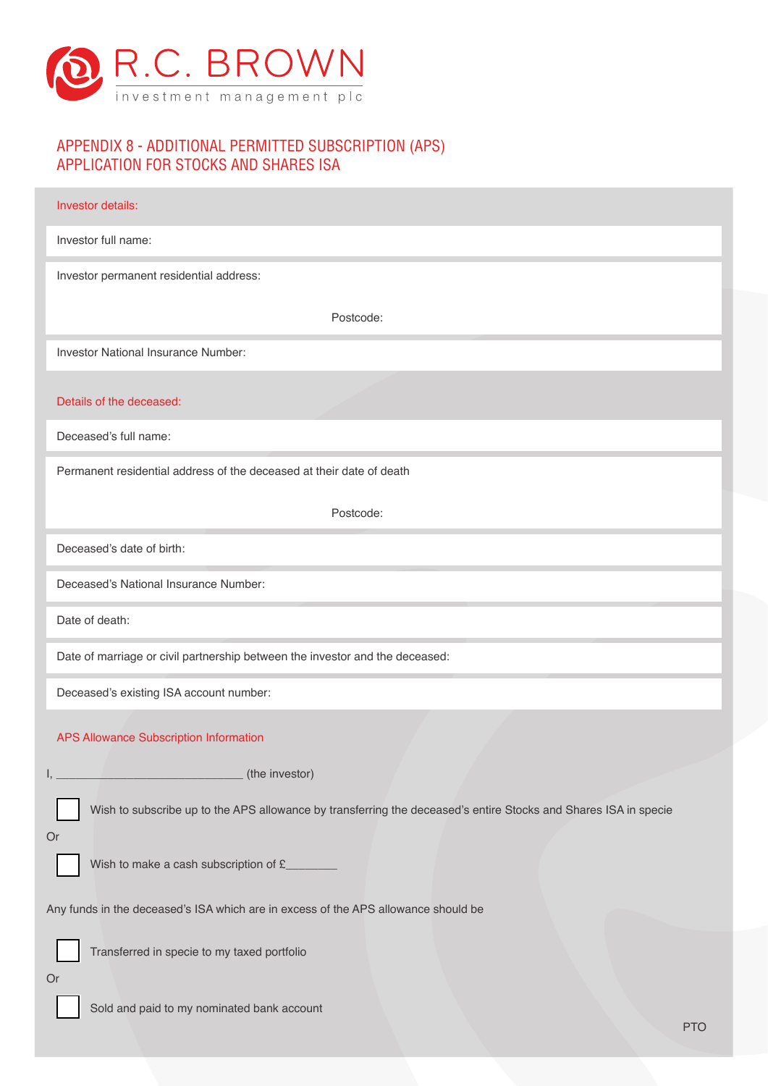

# APPENDIX 8 - ADDITIONAL PERMITTED SUBSCRIPTION (APS) APPLICATION FOR STOCKS AND SHARES ISA

| Investor details:                                                                                                     |
|-----------------------------------------------------------------------------------------------------------------------|
| Investor full name:                                                                                                   |
| Investor permanent residential address:                                                                               |
| Postcode:                                                                                                             |
| <b>Investor National Insurance Number:</b>                                                                            |
| Details of the deceased:                                                                                              |
| Deceased's full name:                                                                                                 |
| Permanent residential address of the deceased at their date of death                                                  |
| Postcode:                                                                                                             |
| Deceased's date of birth:                                                                                             |
| Deceased's National Insurance Number:                                                                                 |
| Date of death:                                                                                                        |
| Date of marriage or civil partnership between the investor and the deceased:                                          |
| Deceased's existing ISA account number:                                                                               |
| APS Allowance Subscription Information                                                                                |
| (the investor)                                                                                                        |
| Wish to subscribe up to the APS allowance by transferring the deceased's entire Stocks and Shares ISA in specie<br>Or |
| Wish to make a cash subscription of £_______                                                                          |
| Any funds in the deceased's ISA which are in excess of the APS allowance should be                                    |
| Transferred in specie to my taxed portfolio                                                                           |
| Or<br>Sold and paid to my nominated bank account<br><b>PTO</b>                                                        |